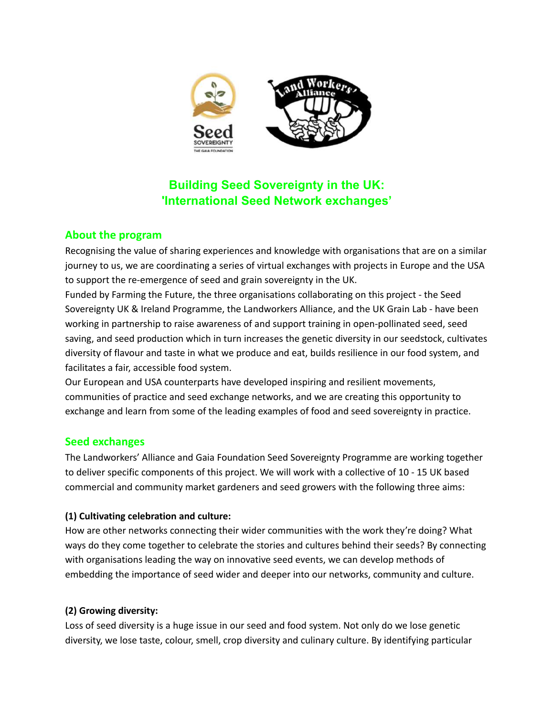

# **Building Seed Sovereignty in the UK: 'International Seed Network exchanges'**

## **About the program**

Recognising the value of sharing experiences and knowledge with organisations that are on a similar journey to us, we are coordinating a series of virtual exchanges with projects in Europe and the USA to support the re-emergence of seed and grain sovereignty in the UK.

Funded by Farming the Future, the three organisations collaborating on this project - the Seed Sovereignty UK & Ireland Programme, the Landworkers Alliance, and the UK Grain Lab - have been working in partnership to raise awareness of and support training in open-pollinated seed, seed saving, and seed production which in turn increases the genetic diversity in our seedstock, cultivates diversity of flavour and taste in what we produce and eat, builds resilience in our food system, and facilitates a fair, accessible food system.

Our European and USA counterparts have developed inspiring and resilient movements, communities of practice and seed exchange networks, and we are creating this opportunity to exchange and learn from some of the leading examples of food and seed sovereignty in practice.

# **Seed exchanges**

The Landworkers' Alliance and Gaia Foundation Seed Sovereignty Programme are working together to deliver specific components of this project. We will work with a collective of 10 - 15 UK based commercial and community market gardeners and seed growers with the following three aims:

## **(1) Cultivating celebration and culture:**

How are other networks connecting their wider communities with the work they're doing? What ways do they come together to celebrate the stories and cultures behind their seeds? By connecting with organisations leading the way on innovative seed events, we can develop methods of embedding the importance of seed wider and deeper into our networks, community and culture.

#### **(2) Growing diversity:**

Loss of seed diversity is a huge issue in our seed and food system. Not only do we lose genetic diversity, we lose taste, colour, smell, crop diversity and culinary culture. By identifying particular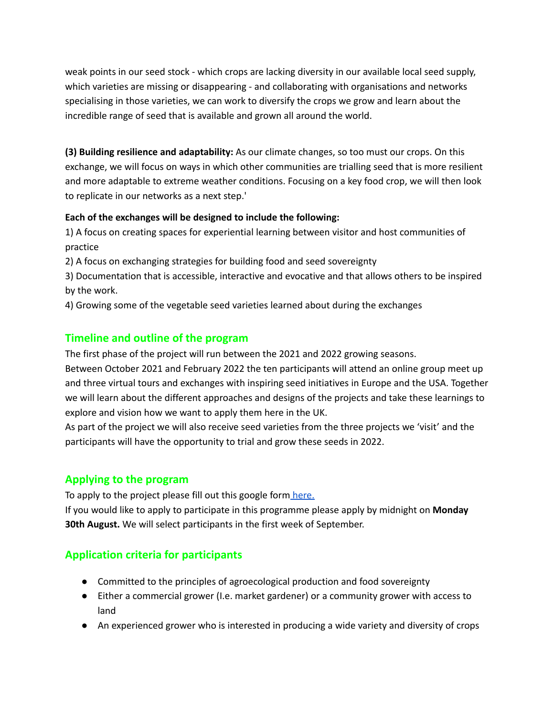weak points in our seed stock - which crops are lacking diversity in our available local seed supply, which varieties are missing or disappearing - and collaborating with organisations and networks specialising in those varieties, we can work to diversify the crops we grow and learn about the incredible range of seed that is available and grown all around the world.

**(3) Building resilience and adaptability:** As our climate changes, so too must our crops. On this exchange, we will focus on ways in which other communities are trialling seed that is more resilient and more adaptable to extreme weather conditions. Focusing on a key food crop, we will then look to replicate in our networks as a next step.'

#### **Each of the exchanges will be designed to include the following:**

1) A focus on creating spaces for experiential learning between visitor and host communities of practice

2) A focus on exchanging strategies for building food and seed sovereignty

3) Documentation that is accessible, interactive and evocative and that allows others to be inspired by the work.

4) Growing some of the vegetable seed varieties learned about during the exchanges

# **Timeline and outline of the program**

The first phase of the project will run between the 2021 and 2022 growing seasons.

Between October 2021 and February 2022 the ten participants will attend an online group meet up and three virtual tours and exchanges with inspiring seed initiatives in Europe and the USA. Together we will learn about the different approaches and designs of the projects and take these learnings to explore and vision how we want to apply them here in the UK.

As part of the project we will also receive seed varieties from the three projects we 'visit' and the participants will have the opportunity to trial and grow these seeds in 2022.

## **Applying to the program**

To apply to the project please fill out this google form [here.](https://forms.gle/swTdL4jTXcsCQWB17)

If you would like to apply to participate in this programme please apply by midnight on **Monday 30th August.** We will select participants in the first week of September.

# **Application criteria for participants**

- Committed to the principles of agroecological production and food sovereignty
- Either a commercial grower (I.e. market gardener) or a community grower with access to land
- An experienced grower who is interested in producing a wide variety and diversity of crops